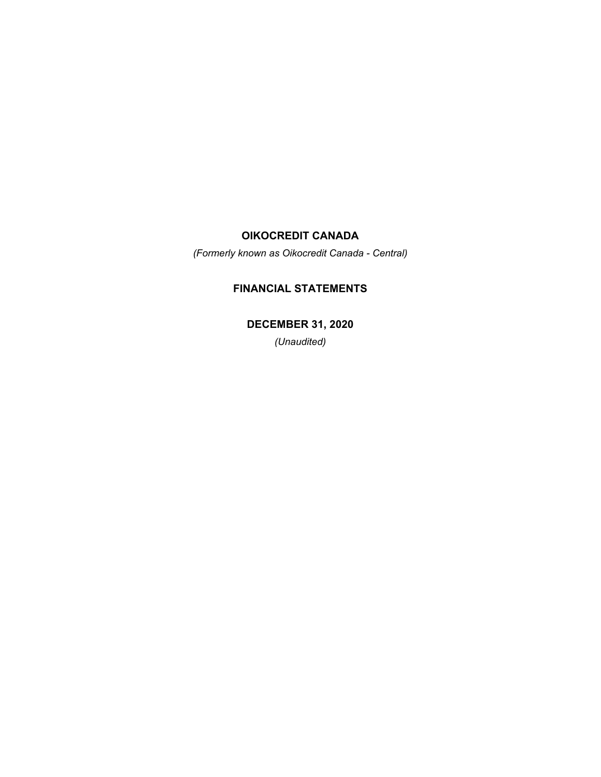*(Formerly known as Oikocredit Canada - Central)*

# **FINANCIAL STATEMENTS**

**DECEMBER 31, 2020**

*(Unaudited)*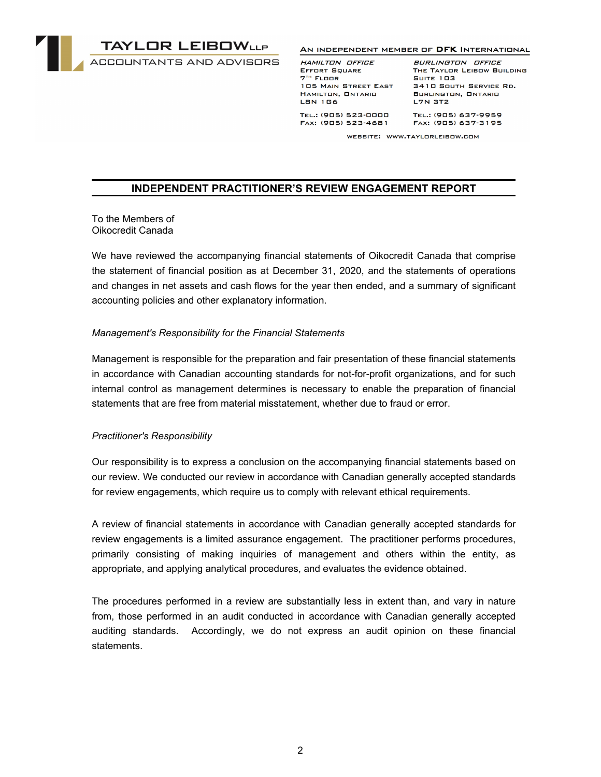

#### AN INDEPENDENT MEMBER OF DFK INTERNATIONAL

HAMILTON OFFICE EFFORT SQUARE  $7<sup>TH</sup>$  FLOOR 

BURLINGTON OFFICE THE TAYLOR LEIBOW BUILDING **SUITE 103** 105 MAIN STREET EAST 3410 SOUTH SERVICE RD. BURLINGTON, ONTARIO

TEL.: (905) 523-0000 FAX: (905) 523-4681 TEL.: (905) 637-9959 FAX: (905) 637-3195

WEBSITE: WWW.TAYLORLEIBOW.COM

### **INDEPENDENT PRACTITIONER'S REVIEW ENGAGEMENT REPORT**

To the Members of Oikocredit Canada

We have reviewed the accompanying financial statements of Oikocredit Canada that comprise the statement of financial position as at December 31, 2020, and the statements of operations and changes in net assets and cash flows for the year then ended, and a summary of significant accounting policies and other explanatory information.

### *Management's Responsibility for the Financial Statements*

Management is responsible for the preparation and fair presentation of these financial statements in accordance with Canadian accounting standards for not-for-profit organizations, and for such internal control as management determines is necessary to enable the preparation of financial statements that are free from material misstatement, whether due to fraud or error.

### *Practitioner's Responsibility*

Our responsibility is to express a conclusion on the accompanying financial statements based on our review. We conducted our review in accordance with Canadian generally accepted standards for review engagements, which require us to comply with relevant ethical requirements.

A review of financial statements in accordance with Canadian generally accepted standards for review engagements is a limited assurance engagement. The practitioner performs procedures, primarily consisting of making inquiries of management and others within the entity, as appropriate, and applying analytical procedures, and evaluates the evidence obtained.

The procedures performed in a review are substantially less in extent than, and vary in nature from, those performed in an audit conducted in accordance with Canadian generally accepted auditing standards. Accordingly, we do not express an audit opinion on these financial statements.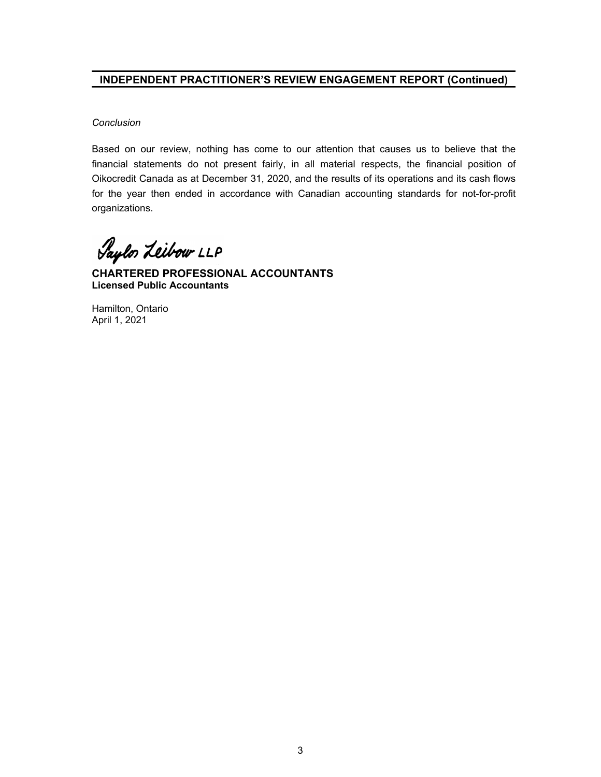## **INDEPENDENT PRACTITIONER'S REVIEW ENGAGEMENT REPORT (Continued)**

### *Conclusion*

Based on our review, nothing has come to our attention that causes us to believe that the financial statements do not present fairly, in all material respects, the financial position of Oikocredit Canada as at December 31, 2020, and the results of its operations and its cash flows for the year then ended in accordance with Canadian accounting standards for not-for-profit organizations.

Saylor Leibow LLP

**CHARTERED PROFESSIONAL ACCOUNTANTS Licensed Public Accountants**

Hamilton, Ontario April 1, 2021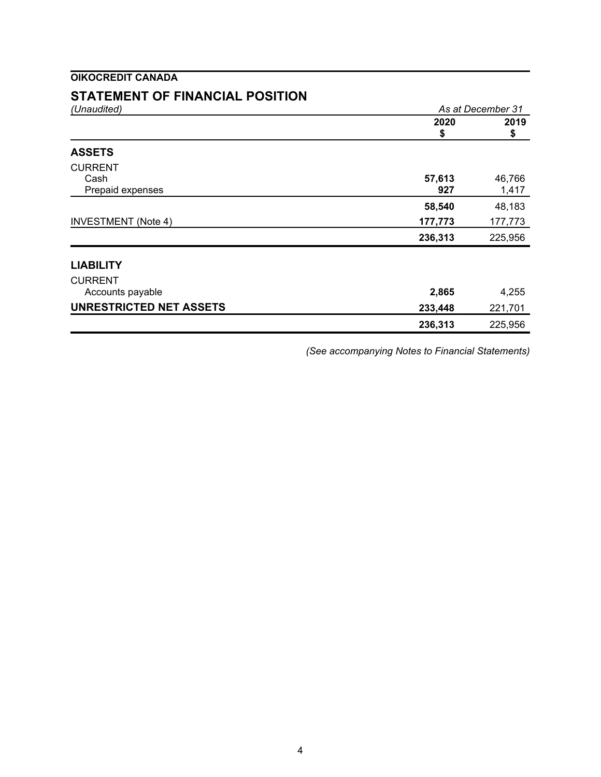# **STATEMENT OF FINANCIAL POSITION**

| (Unaudited)                    | As at December 31 |            |
|--------------------------------|-------------------|------------|
|                                | 2020<br>\$        | 2019<br>\$ |
| <b>ASSETS</b>                  |                   |            |
| <b>CURRENT</b>                 |                   |            |
| Cash                           | 57,613            | 46,766     |
| Prepaid expenses               | 927               | 1,417      |
|                                | 58,540            | 48,183     |
| <b>INVESTMENT</b> (Note 4)     | 177,773           | 177,773    |
|                                | 236,313           | 225,956    |
| <b>LIABILITY</b>               |                   |            |
| <b>CURRENT</b>                 |                   |            |
| Accounts payable               | 2,865             | 4,255      |
| <b>UNRESTRICTED NET ASSETS</b> | 233,448           | 221,701    |
|                                | 236,313           | 225,956    |

*(See accompanying Notes to Financial Statements)*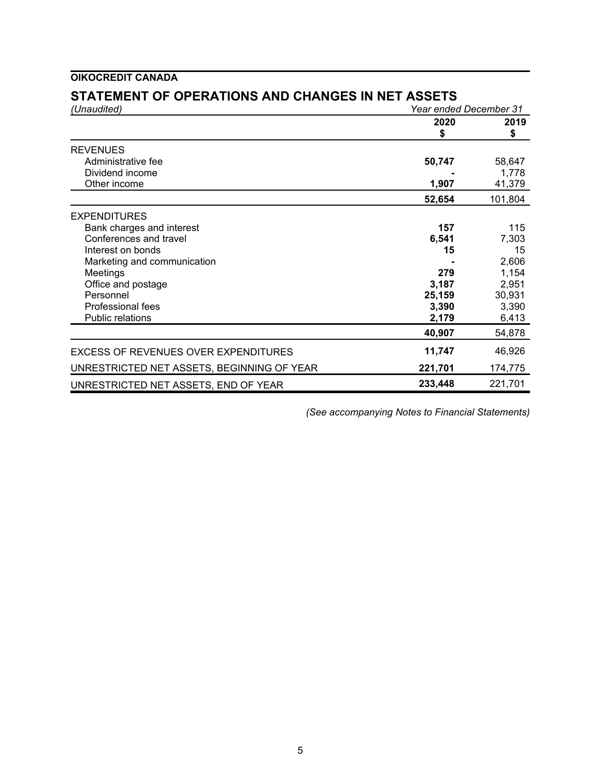# **STATEMENT OF OPERATIONS AND CHANGES IN NET ASSETS**

| (Unaudited)                                 | Year ended December 31 |            |
|---------------------------------------------|------------------------|------------|
|                                             | 2020<br>\$             | 2019<br>\$ |
|                                             |                        |            |
| Administrative fee                          | 50,747                 | 58,647     |
| Dividend income                             |                        | 1,778      |
| Other income                                | 1,907                  | 41,379     |
|                                             | 52,654                 | 101,804    |
| <b>EXPENDITURES</b>                         |                        |            |
| Bank charges and interest                   | 157                    | 115        |
| Conferences and travel                      | 6,541                  | 7,303      |
| Interest on bonds                           | 15                     | 15         |
| Marketing and communication                 |                        | 2,606      |
| Meetings                                    | 279                    | 1,154      |
| Office and postage                          | 3,187                  | 2,951      |
| Personnel                                   | 25,159                 | 30,931     |
| Professional fees                           | 3,390                  | 3,390      |
| <b>Public relations</b>                     | 2,179                  | 6,413      |
|                                             | 40,907                 | 54,878     |
| <b>EXCESS OF REVENUES OVER EXPENDITURES</b> | 11,747                 | 46,926     |
| UNRESTRICTED NET ASSETS, BEGINNING OF YEAR  | 221,701                | 174,775    |
| UNRESTRICTED NET ASSETS, END OF YEAR        | 233,448                | 221,701    |

*(See accompanying Notes to Financial Statements)*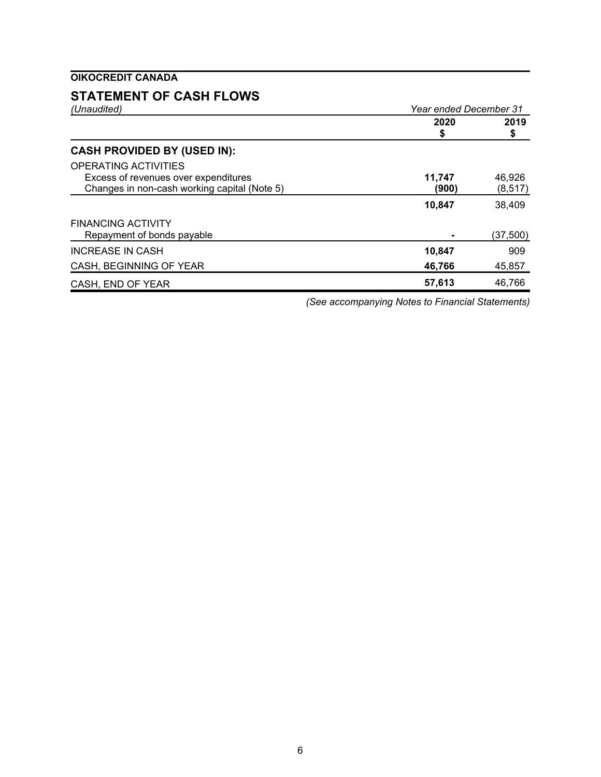# **STATEMENT OF CASH FLOWS**

| (Unaudited)                                  | Year ended December 31 |            |
|----------------------------------------------|------------------------|------------|
|                                              | 2020<br>\$             | 2019<br>\$ |
| <b>CASH PROVIDED BY (USED IN):</b>           |                        |            |
| OPERATING ACTIVITIES                         |                        |            |
| Excess of revenues over expenditures         | 11.747                 | 46.926     |
| Changes in non-cash working capital (Note 5) | (900)                  | (8, 517)   |
|                                              | 10,847                 | 38,409     |
| <b>FINANCING ACTIVITY</b>                    |                        |            |
| Repayment of bonds payable                   |                        | (37,500)   |
| <b>INCREASE IN CASH</b>                      | 10,847                 | 909        |
| CASH, BEGINNING OF YEAR                      | 46,766                 | 45,857     |
| CASH, END OF YEAR                            | 57,613                 | 46,766     |

*(See accompanying Notes to Financial Statements)*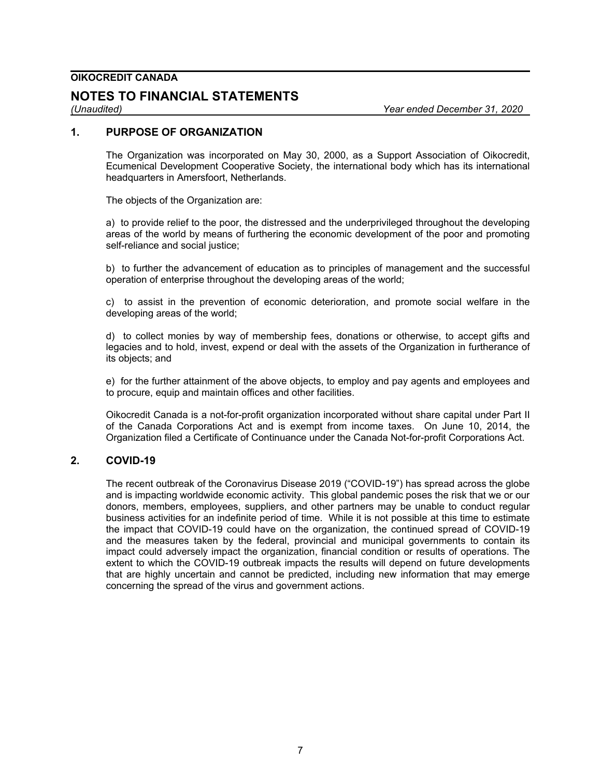## **NOTES TO FINANCIAL STATEMENTS**

*(Unaudited) Year ended December 31, 2020*

## **1. PURPOSE OF ORGANIZATION**

The Organization was incorporated on May 30, 2000, as a Support Association of Oikocredit, Ecumenical Development Cooperative Society, the international body which has its international headquarters in Amersfoort, Netherlands.

The objects of the Organization are:

a) to provide relief to the poor, the distressed and the underprivileged throughout the developing areas of the world by means of furthering the economic development of the poor and promoting self-reliance and social justice;

b) to further the advancement of education as to principles of management and the successful operation of enterprise throughout the developing areas of the world;

c) to assist in the prevention of economic deterioration, and promote social welfare in the developing areas of the world;

d) to collect monies by way of membership fees, donations or otherwise, to accept gifts and legacies and to hold, invest, expend or deal with the assets of the Organization in furtherance of its objects; and

e) for the further attainment of the above objects, to employ and pay agents and employees and to procure, equip and maintain offices and other facilities.

Oikocredit Canada is a not-for-profit organization incorporated without share capital under Part II of the Canada Corporations Act and is exempt from income taxes. On June 10, 2014, the Organization filed a Certificate of Continuance under the Canada Not-for-profit Corporations Act.

### **2. COVID-19**

The recent outbreak of the Coronavirus Disease 2019 ("COVID-19") has spread across the globe and is impacting worldwide economic activity. This global pandemic poses the risk that we or our donors, members, employees, suppliers, and other partners may be unable to conduct regular business activities for an indefinite period of time. While it is not possible at this time to estimate the impact that COVID-19 could have on the organization, the continued spread of COVID-19 and the measures taken by the federal, provincial and municipal governments to contain its impact could adversely impact the organization, financial condition or results of operations. The extent to which the COVID-19 outbreak impacts the results will depend on future developments that are highly uncertain and cannot be predicted, including new information that may emerge concerning the spread of the virus and government actions.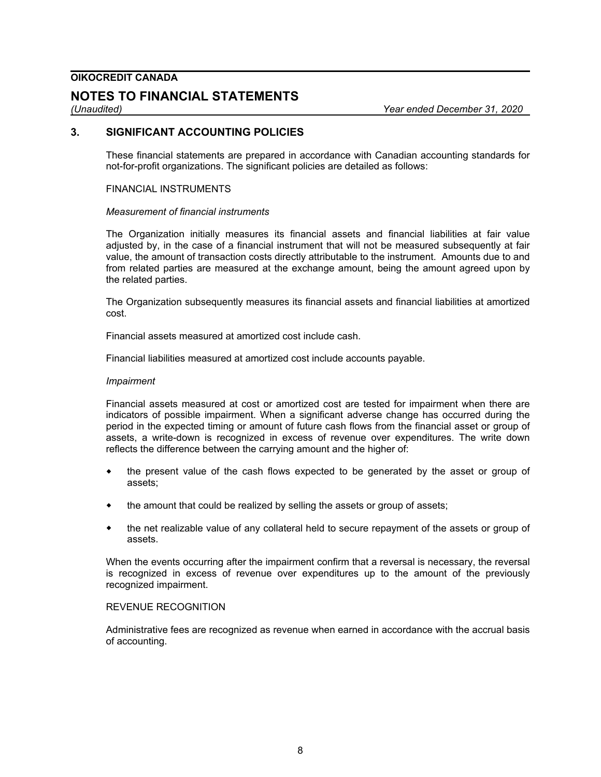## **NOTES TO FINANCIAL STATEMENTS**

*(Unaudited) Year ended December 31, 2020*

### **3. SIGNIFICANT ACCOUNTING POLICIES**

These financial statements are prepared in accordance with Canadian accounting standards for not-for-profit organizations. The significant policies are detailed as follows:

#### FINANCIAL INSTRUMENTS

### *Measurement of financial instruments*

The Organization initially measures its financial assets and financial liabilities at fair value adjusted by, in the case of a financial instrument that will not be measured subsequently at fair value, the amount of transaction costs directly attributable to the instrument. Amounts due to and from related parties are measured at the exchange amount, being the amount agreed upon by the related parties.

The Organization subsequently measures its financial assets and financial liabilities at amortized cost.

Financial assets measured at amortized cost include cash.

Financial liabilities measured at amortized cost include accounts payable.

#### *Impairment*

Financial assets measured at cost or amortized cost are tested for impairment when there are indicators of possible impairment. When a significant adverse change has occurred during the period in the expected timing or amount of future cash flows from the financial asset or group of assets, a write-down is recognized in excess of revenue over expenditures. The write down reflects the difference between the carrying amount and the higher of:

- the present value of the cash flows expected to be generated by the asset or group of assets;
- the amount that could be realized by selling the assets or group of assets;
- the net realizable value of any collateral held to secure repayment of the assets or group of assets.

When the events occurring after the impairment confirm that a reversal is necessary, the reversal is recognized in excess of revenue over expenditures up to the amount of the previously recognized impairment.

#### REVENUE RECOGNITION

Administrative fees are recognized as revenue when earned in accordance with the accrual basis of accounting.